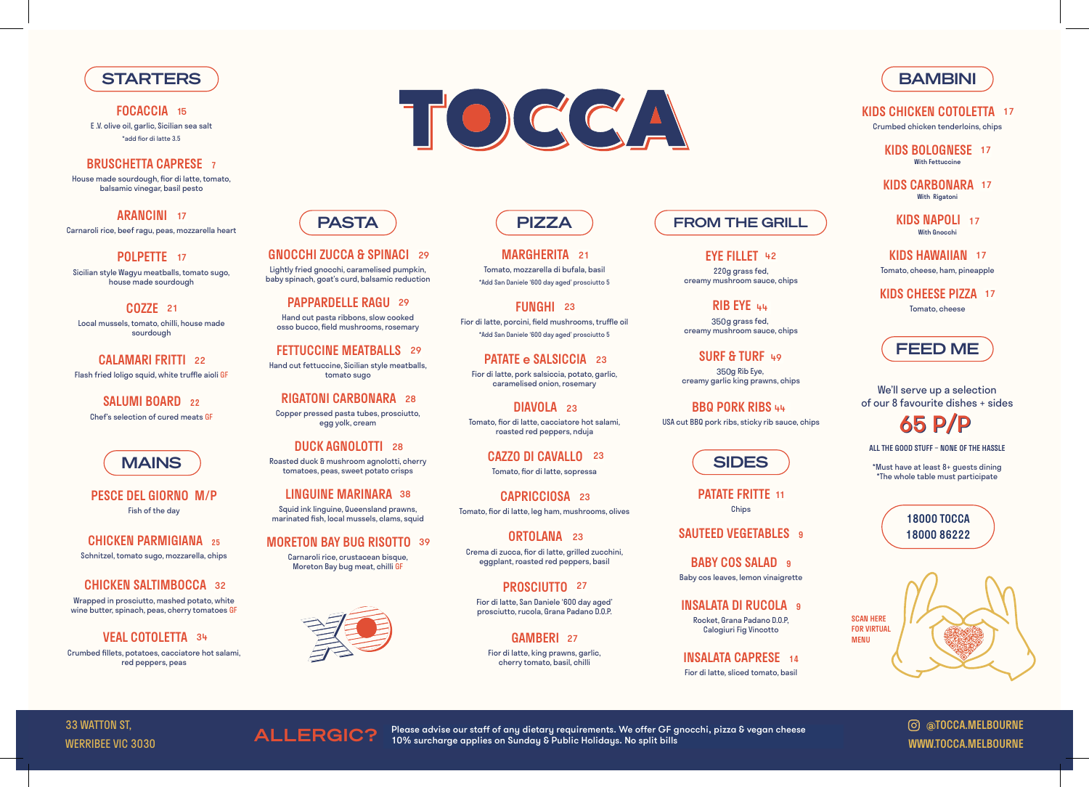## **STARTERS**

**FOCACCIA** 15 E .V. olive oil, garlic, Sicilian sea salt \*add fior di latte 3.5

### BRUSCHETTA CAPRESE 7

ARANCINI 17 Carnaroli rice, beef ragu, peas, mozzarella heart

POLPETTE 17

House made sourdough, fior di latte, tomato, balsamic vinegar, basil pesto

CALAMARI FRITTI 22 Flash fried loligo squid, white truffle aioli GF

SALUMI BOARD 22 Chef's selection of cured meats GF



Sicilian style Wagyu meatballs, tomato sugo, house made sourdough

COZZE 21

Local mussels, tomato, chilli, house made sourdough

**VEAL COTOLETTA** 34 Crumbed fillets, potatoes, cacciatore hot salami, red peppers, peas

PATATE FRITTE 11 Chips

SAUTEED VEGETABLES 9

BABY COS SALAD 9 Baby cos leaves, lemon vinaigrette

INSALATA DI RUCOLA 9

PESCE DEL GIORNO M/P Fish of the day

GNOCCHI ZUCCA & SPINACI 29 Lightly fried gnocchi, caramelised pumpkin,

CHICKEN PARMIGIANA 25 Schnitzel, tomato sugo, mozzarella, chips

### **CHICKEN SALTIMBOCCA 32**

PAPPARDELLE RAGU 29 Hand cut pasta ribbons, slow cooked osso bucco, field mushrooms, rosemary

FETTUCCINE MEATBALLS 29 Hand cut fettuccine, Sicilian style meatballs, tomato sugo

RIGATONI CARBONARA 24 Copper pressed pasta tubes, prosciutto, egg yolk, cream **4 28**<br>sciutto<br>28

Wrapped in prosciutto, mashed potato, white wine butter, spinach, peas, cherry tomatoes GF

MAINS ) Roasted duck & mushroom agnolotti, cherry **CAZZU DI CAVALLU 23** (SIDES DUCK AGNOLOTTI 28 tomatoes, peas, sweet potato crisps

> LINGUINE MARINARA 38 Squid ink linguine, Queensland prawns, marinated fish, local mussels, clams, squid

**MORETON BAY BUG RISOTTO 39** Carnaroli rice, crustacean bisque, Moreton Bay bug meat, chilli GF



MARGHERITA 21 Tomato, mozzarella di bufala, basil \*Add San Daniele '600 day aged' prosciutto 5

**FUNGHI** 23 Fior di latte, porcini, field mushrooms, truffle oil \*Add San Daniele '600 day aged' prosciutto 5

> Rocket, Grana Padano D.O.P, Calogiuri Fig Vincotto

INSALATA CAPRESE 14

PATATE e SALSICCIA 23 Fior di latte, pork salsiccia, potato, garlic, caramelised onion, rosemary

Fior di latte, sliced tomato, basil

## PASTA

DIAVOLA 23 Tomato, fior di latte, cacciatore hot salami, roasted red peppers, nduja

> CAZZO DI CAVALLO 23 Tomato, fior di latte, sopressa

CAPRICCIOSA 23 Tomato, fior di latte, leg ham, mushrooms, olives

baby spinach, goat's curd, balsamic reduction

ORTOLANA 23 Crema di zucca, fior di latte, grilled zucchini, eggplant, roasted red peppers, basil

PROSCIUTTO 27 Fior di latte, San Daniele '600 day aged' prosciutto, rucola, Grana Padano D.O.P.

GAMBERI 27 Fior di latte, king prawns, garlic, cherry tomato, basil, chilli

EYE FILLET 42 220g grass fed, creamy mushroom sauce, chips

RIB EYE 44 350g grass fed, creamy mushroom sauce, chips

SURF & TURF 49 350g Rib Eye, creamy garlic king prawns, chips

BBQ PORK RIBS 44

KIDS CHICKEN COTOLETTA 17 Crumbed chicken tenderloins, chips

> KIDS BOLOGNESE 17 With Fettuccine

KIDS CARBONARA 17 With Rigatoni

> KIDS NAPOLI 17 With Gnocchi

KIDS HAWAIIAN 17 Tomato, cheese, ham, pineapple



TOCCA

 $\mathsf{ALLERGIC2}$  Please advise our staff of any dietary requirements. We offer GF gnocchi, pizza & vegan cheese<br> $\mathsf{ALLERGIC2}$  10% surcharge applies on Sunday & Public Holidays. No split bills 10% surcharge applies on Sunday & Public Holidays. No split bills

## **BAMBINI**

### FROM THE GRILL

USA cut BBQ pork ribs, sticky rib sauce, chips

Tomato, cheese



We'll serve up a selection of our 8 favourite dishes + sides

ALL THE GOOD STUFF – NONE OF THE HASSLE

KIDS CHEESE PIZZA 12 17

\*Must have at least 8+ guests dining \*The whole table must participate



33 WATTON ST, WERRIBEE VIC 3030



@TOCCA.MELBOURNE WWW.TOCCA.MELBOURNE



18000 TOCCA 18000 86222